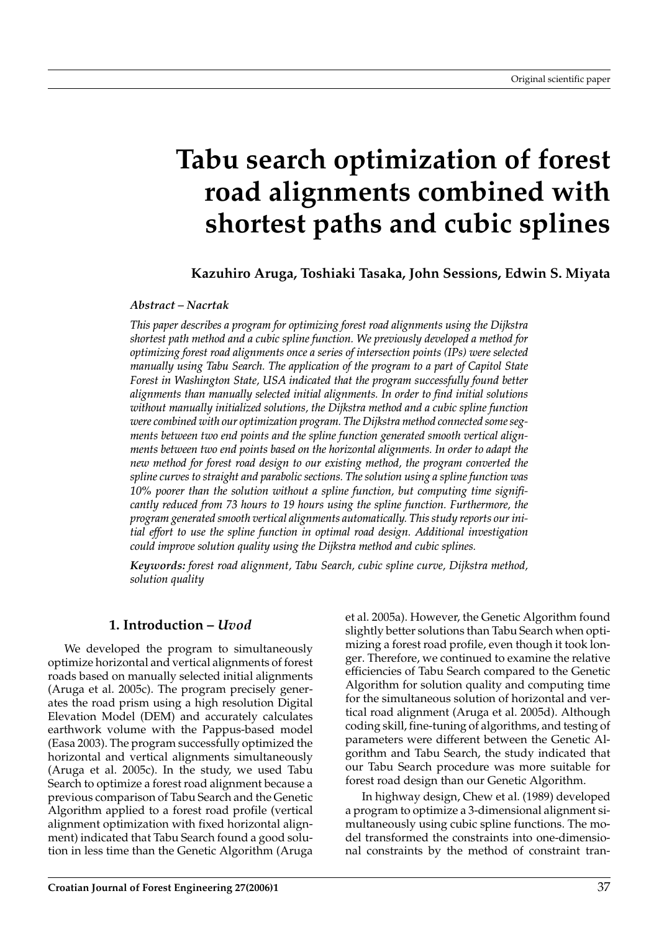# **Tabu search optimization of forest road alignments combined with shortest paths and cubic splines**

**Kazuhiro Aruga, Toshiaki Tasaka, John Sessions, Edwin S. Miyata**

#### *Abstract – Nacrtak*

*This paper describes a program for optimizing forest road alignments using the Dijkstra shortest path method and a cubic spline function. We previously developed a method for optimizing forest road alignments once a series of intersection points (IPs) were selected manually using Tabu Search. The application of the program to a part of Capitol State Forest in Washington State, USA indicated that the program successfully found better alignments than manually selected initial alignments. In order to find initial solutions without manually initialized solutions, the Dijkstra method and a cubic spline function were combined with our optimization program. The Dijkstra method connected some segments between two end points and the spline function generated smooth vertical alignments between two end points based on the horizontal alignments. In order to adapt the new method for forest road design to our existing method, the program converted the spline curves to straight and parabolic sections. The solution using a spline function was 10% poorer than the solution without a spline function, but computing time significantly reduced from 73 hours to 19 hours using the spline function. Furthermore, the program generated smooth vertical alignments automatically. This study reports our initial effort to use the spline function in optimal road design. Additional investigation could improve solution quality using the Dijkstra method and cubic splines.*

*Keywords: forest road alignment, Tabu Search, cubic spline curve, Dijkstra method, solution quality*

#### **1. Introduction –** *Uvod*

We developed the program to simultaneously optimize horizontal and vertical alignments of forest roads based on manually selected initial alignments (Aruga et al. 2005c). The program precisely generates the road prism using a high resolution Digital Elevation Model (DEM) and accurately calculates earthwork volume with the Pappus-based model (Easa 2003). The program successfully optimized the horizontal and vertical alignments simultaneously (Aruga et al. 2005c). In the study, we used Tabu Search to optimize a forest road alignment because a previous comparison of Tabu Search and the Genetic Algorithm applied to a forest road profile (vertical alignment optimization with fixed horizontal alignment) indicated that Tabu Search found a good solution in less time than the Genetic Algorithm (Aruga

et al. 2005a). However, the Genetic Algorithm found slightly better solutions than Tabu Search when optimizing a forest road profile, even though it took longer. Therefore, we continued to examine the relative efficiencies of Tabu Search compared to the Genetic Algorithm for solution quality and computing time for the simultaneous solution of horizontal and vertical road alignment (Aruga et al. 2005d). Although coding skill, fine-tuning of algorithms, and testing of parameters were different between the Genetic Algorithm and Tabu Search, the study indicated that our Tabu Search procedure was more suitable for forest road design than our Genetic Algorithm.

In highway design, Chew et al. (1989) developed a program to optimize a 3-dimensional alignment simultaneously using cubic spline functions. The model transformed the constraints into one-dimensional constraints by the method of constraint tran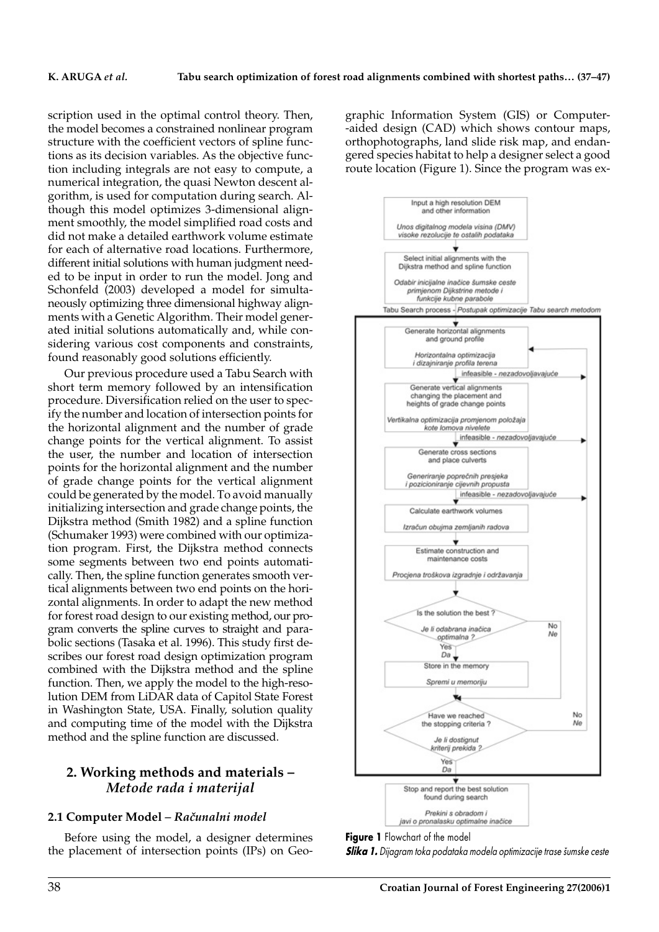scription used in the optimal control theory. Then, the model becomes a constrained nonlinear program structure with the coefficient vectors of spline functions as its decision variables. As the objective function including integrals are not easy to compute, a numerical integration, the quasi Newton descent algorithm, is used for computation during search. Although this model optimizes 3-dimensional alignment smoothly, the model simplified road costs and did not make a detailed earthwork volume estimate for each of alternative road locations. Furthermore, different initial solutions with human judgment needed to be input in order to run the model. Jong and Schonfeld (2003) developed a model for simultaneously optimizing three dimensional highway alignments with a Genetic Algorithm. Their model generated initial solutions automatically and, while considering various cost components and constraints, found reasonably good solutions efficiently.

Our previous procedure used a Tabu Search with short term memory followed by an intensification procedure. Diversification relied on the user to specify the number and location of intersection points for the horizontal alignment and the number of grade change points for the vertical alignment. To assist the user, the number and location of intersection points for the horizontal alignment and the number of grade change points for the vertical alignment could be generated by the model. To avoid manually initializing intersection and grade change points, the Dijkstra method (Smith 1982) and a spline function (Schumaker 1993) were combined with our optimization program. First, the Dijkstra method connects some segments between two end points automatically. Then, the spline function generates smooth vertical alignments between two end points on the horizontal alignments. In order to adapt the new method for forest road design to our existing method, our program converts the spline curves to straight and parabolic sections (Tasaka et al. 1996). This study first describes our forest road design optimization program combined with the Dijkstra method and the spline function. Then, we apply the model to the high-resolution DEM from LiDAR data of Capitol State Forest in Washington State, USA. Finally, solution quality and computing time of the model with the Dijkstra method and the spline function are discussed.

### **2. Working methods and materials –** *Metode rada i materijal*

#### 2.1 Computer Model - Računalni model

Before using the model, a designer determines the placement of intersection points (IPs) on Geographic Information System (GIS) or Computer- -aided design (CAD) which shows contour maps, orthophotographs, land slide risk map, and endangered species habitat to help a designer select a good route location (Figure 1). Since the program was ex-



**Figure 1** Flowchart of the model

*Slika 1. Dijagram toka podataka modela optimizacije trase {umske ceste*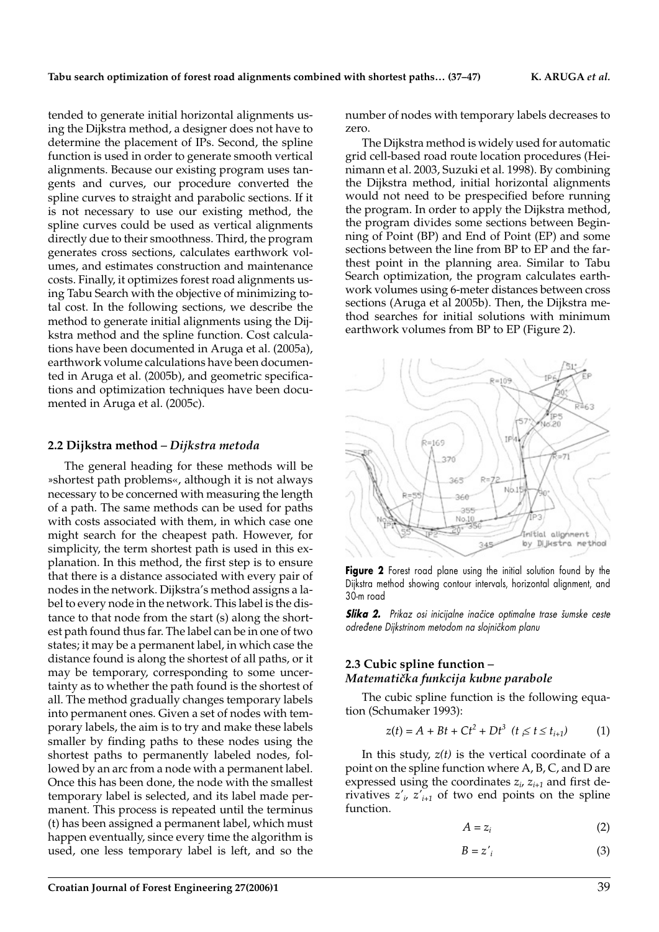tended to generate initial horizontal alignments using the Dijkstra method, a designer does not have to determine the placement of IPs. Second, the spline function is used in order to generate smooth vertical alignments. Because our existing program uses tangents and curves, our procedure converted the spline curves to straight and parabolic sections. If it is not necessary to use our existing method, the spline curves could be used as vertical alignments directly due to their smoothness. Third, the program generates cross sections, calculates earthwork volumes, and estimates construction and maintenance costs. Finally, it optimizes forest road alignments using Tabu Search with the objective of minimizing total cost. In the following sections, we describe the method to generate initial alignments using the Dijkstra method and the spline function. Cost calculations have been documented in Aruga et al. (2005a), earthwork volume calculations have been documented in Aruga et al. (2005b), and geometric specifications and optimization techniques have been documented in Aruga et al. (2005c).

#### **2.2 Dijkstra method** *– Dijkstra metoda*

The general heading for these methods will be »shortest path problems«, although it is not always necessary to be concerned with measuring the length of a path. The same methods can be used for paths with costs associated with them, in which case one might search for the cheapest path. However, for simplicity, the term shortest path is used in this explanation. In this method, the first step is to ensure that there is a distance associated with every pair of nodes in the network. Dijkstra's method assigns a label to every node in the network. This label is the distance to that node from the start (s) along the shortest path found thus far. The label can be in one of two states; it may be a permanent label, in which case the distance found is along the shortest of all paths, or it may be temporary, corresponding to some uncertainty as to whether the path found is the shortest of all. The method gradually changes temporary labels into permanent ones. Given a set of nodes with temporary labels, the aim is to try and make these labels smaller by finding paths to these nodes using the shortest paths to permanently labeled nodes, followed by an arc from a node with a permanent label. Once this has been done, the node with the smallest temporary label is selected, and its label made permanent. This process is repeated until the terminus (t) has been assigned a permanent label, which must happen eventually, since every time the algorithm is used, one less temporary label is left, and so the

number of nodes with temporary labels decreases to zero.

The Dijkstra method is widely used for automatic grid cell-based road route location procedures (Heinimann et al. 2003, Suzuki et al. 1998). By combining the Dijkstra method, initial horizontal alignments would not need to be prespecified before running the program. In order to apply the Dijkstra method, the program divides some sections between Beginning of Point (BP) and End of Point (EP) and some sections between the line from BP to EP and the farthest point in the planning area. Similar to Tabu Search optimization, the program calculates earthwork volumes using 6-meter distances between cross sections (Aruga et al 2005b). Then, the Dijkstra method searches for initial solutions with minimum earthwork volumes from BP to EP (Figure 2).



**Figure 2** Forest road plane using the initial solution found by the Dijkstra method showing contour intervals, horizontal alignment, and 30-m road

**Slika 2.** Prikaz osi inicijalne inačice optimalne trase šumske ceste *odre|ene Dijkstrinom metodom na slojni~kom planu*

#### **2.3 Cubic spline function** *– Matemati~ka funkcija kubne parabole*

The cubic spline function is the following equation (Schumaker 1993):

$$
z(t) = A + Bt + Ct^{2} + Dt^{3} \ \ (t \le t \le t_{i+1}) \tag{1}
$$

In this study, *z(t)* is the vertical coordinate of a point on the spline function where A, B, C, and D are expressed using the coordinates  $z_i$ ,  $z_{i+1}$  and first derivatives  $z'_{i}$ ,  $z'_{i+1}$  of two end points on the spline function.

$$
A = z_i \tag{2}
$$

$$
B = z'_i \tag{3}
$$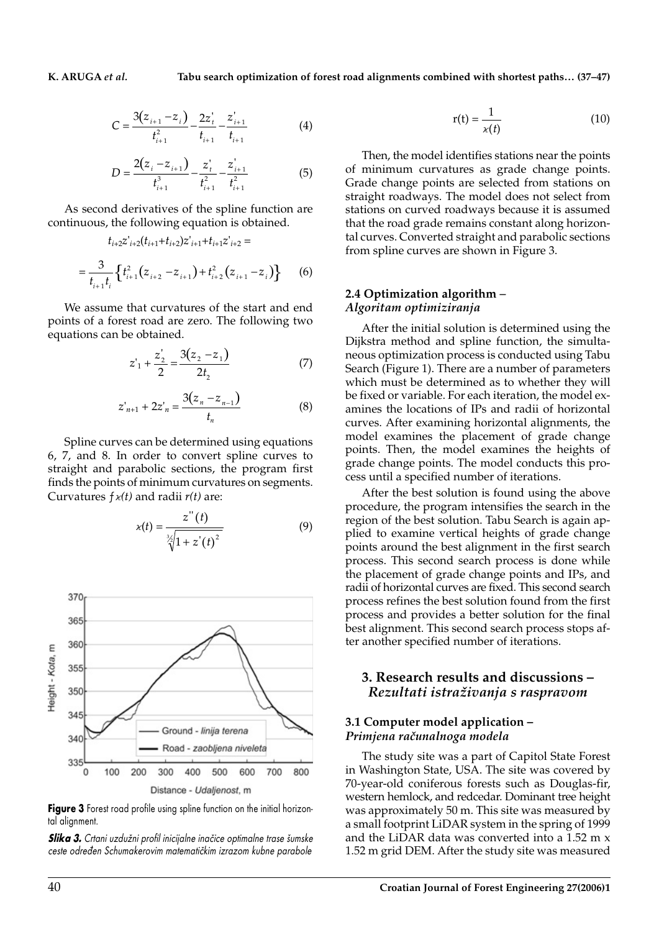$$
C = \frac{3(z_{i+1} - z_i)}{t_{i+1}^2} - \frac{2z_i'}{t_{i+1}} - \frac{z_{i+1}'}{t_{i+1}}
$$
(4)

$$
D = \frac{2(z_i - z_{i+1})}{t_{i+1}^3} - \frac{z_i^2}{t_{i+1}^2} - \frac{z_{i+1}^2}{t_{i+1}^2}
$$
(5)

As second derivatives of the spline function are continuous, the following equation is obtained.

$$
t_{i+2}z'_{i+2}(t_{i+1}+t_{i+2})z'_{i+1}+t_{i+1}z'_{i+2}=
$$
  
= 
$$
\frac{3}{t_{i+1}t_i}\left\{t_{i+1}^2(z_{i+2}-z_{i+1})+t_{i+2}^2(z_{i+1}-z_i)\right\}
$$
 (6)

We assume that curvatures of the start and end points of a forest road are zero. The following two equations can be obtained.

$$
z'_{1} + \frac{z'_{2}}{2} = \frac{3(z_{2} - z_{1})}{2t_{2}}
$$
 (7)

$$
z'_{n+1} + 2z'_{n} = \frac{3(z_{n} - z_{n-1})}{t_{n}}
$$
 (8)

Spline curves can be determined using equations 6, 7, and 8. In order to convert spline curves to straight and parabolic sections, the program first finds the points of minimum curvatures on segments. Curvatures *ƒk(t)* and radii *r(t)* are:

$$
x(t) = \frac{z''(t)}{\sqrt[3]{1 + z'(t)^2}}
$$
(9)



**Figure 3** Forest road profile using spline function on the initial horizontal alignment.

**Slika 3.** Crtani uzdužni profil inicijalne inačice optimalne trase šumske ceste određen Schumakerovim matematičkim izrazom kubne parabole

$$
r(t) = \frac{1}{\varkappa(t)}\tag{10}
$$

Then, the model identifies stations near the points of minimum curvatures as grade change points. Grade change points are selected from stations on straight roadways. The model does not select from stations on curved roadways because it is assumed that the road grade remains constant along horizontal curves. Converted straight and parabolic sections from spline curves are shown in Figure 3.

#### **2.4 Optimization algorithm** *– Algoritam optimiziranja*

After the initial solution is determined using the Dijkstra method and spline function, the simultaneous optimization process is conducted using Tabu Search (Figure 1). There are a number of parameters which must be determined as to whether they will be fixed or variable. For each iteration, the model examines the locations of IPs and radii of horizontal curves. After examining horizontal alignments, the model examines the placement of grade change points. Then, the model examines the heights of grade change points. The model conducts this process until a specified number of iterations.

After the best solution is found using the above procedure, the program intensifies the search in the region of the best solution. Tabu Search is again applied to examine vertical heights of grade change points around the best alignment in the first search process. This second search process is done while the placement of grade change points and IPs, and radii of horizontal curves are fixed. This second search process refines the best solution found from the first process and provides a better solution for the final best alignment. This second search process stops after another specified number of iterations.

#### **3. Research results and discussions –** *Rezultati istra`ivanja s raspravom*

#### **3.1 Computer model application –** *Primjena računalnoga modela*

The study site was a part of Capitol State Forest in Washington State, USA. The site was covered by 70-year-old coniferous forests such as Douglas-fir, western hemlock, and redcedar. Dominant tree height was approximately 50 m. This site was measured by a small footprint LiDAR system in the spring of 1999 and the LiDAR data was converted into a 1.52 m x 1.52 m grid DEM. After the study site was measured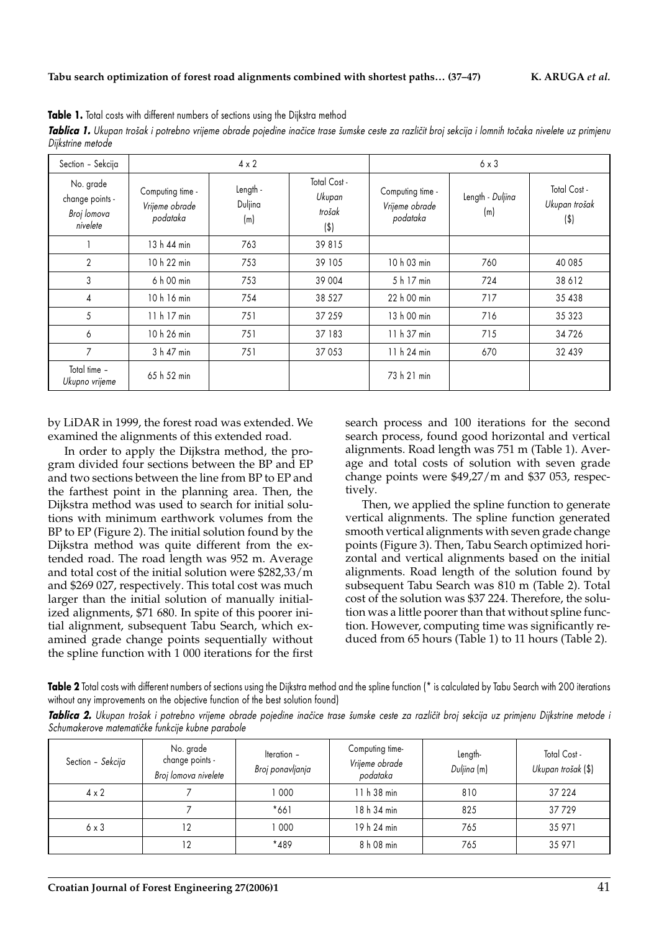| Dijkstrine metode                                       |                                                |                            |                                             |                                                |                         |                                          |  |  |  |  |
|---------------------------------------------------------|------------------------------------------------|----------------------------|---------------------------------------------|------------------------------------------------|-------------------------|------------------------------------------|--|--|--|--|
| Section - Sekcija                                       | $4 \times 2$                                   |                            |                                             |                                                | $6 \times 3$            |                                          |  |  |  |  |
| No. grade<br>change points -<br>Broj lomova<br>nivelete | Computing time -<br>Vrijeme obrade<br>podataka | Length -<br>Duljina<br>(m) | Total Cost -<br>Ukupan<br>trošak<br>$($ \$) | Computing time -<br>Vrijeme obrade<br>podataka | Length - Duljina<br>(m) | Total Cost -<br>Ukupan trošak<br>$($ \$) |  |  |  |  |
|                                                         | 13 h 44 min                                    | 763                        | 39815                                       |                                                |                         |                                          |  |  |  |  |
| $\overline{2}$                                          | 10 h 22 min                                    | 753                        | 39 105                                      | 10 h 03 min                                    | 760                     | 40 085                                   |  |  |  |  |
| 3                                                       | 6 h 00 min                                     | 753                        | 39 004                                      | 5 h 17 min                                     | 724                     | 38 612                                   |  |  |  |  |
| 4                                                       | 10 h 16 min                                    | 754                        | 38 5 27                                     | 22 h 00 min                                    | 717                     | 35 438                                   |  |  |  |  |
| 5                                                       | 11 h 17 min                                    | 751                        | 37 259                                      | 13 h 00 min                                    | 716                     | 35 323                                   |  |  |  |  |
| 6                                                       | 10 h 26 min                                    | 751                        | 37 183                                      | 11 h 37 min                                    | 715                     | 34726                                    |  |  |  |  |
| 7                                                       | 3 h 47 min                                     | 751                        | 37 053                                      | 11 h 24 min                                    | 670                     | 32 439                                   |  |  |  |  |

Table 1. Total costs with different numbers of sections using the Dijkstra method

**Tablica 1.** Ukupan trošak i potrebno vrijeme obrade pojedine inačice trase šumske ceste za različit broj sekcija i lomnih točaka nivelete uz primjenu

by LiDAR in 1999, the forest road was extended. We examined the alignments of this extended road.

*Ukupno vrijeme* 65 h 52 min 73 h 21 min

Total time –<br>Ukupno vrijeme

In order to apply the Dijkstra method, the program divided four sections between the BP and EP and two sections between the line from BP to EP and the farthest point in the planning area. Then, the Dijkstra method was used to search for initial solutions with minimum earthwork volumes from the BP to EP (Figure 2). The initial solution found by the Dijkstra method was quite different from the extended road. The road length was 952 m. Average and total cost of the initial solution were \$282,33/m and \$269 027, respectively. This total cost was much larger than the initial solution of manually initialized alignments, \$71 680. In spite of this poorer initial alignment, subsequent Tabu Search, which examined grade change points sequentially without the spline function with 1 000 iterations for the first

search process and 100 iterations for the second search process, found good horizontal and vertical alignments. Road length was 751 m (Table 1). Average and total costs of solution with seven grade change points were \$49,27/m and \$37 053, respectively.

Then, we applied the spline function to generate vertical alignments. The spline function generated smooth vertical alignments with seven grade change points (Figure 3). Then, Tabu Search optimized horizontal and vertical alignments based on the initial alignments. Road length of the solution found by subsequent Tabu Search was 810 m (Table 2). Total cost of the solution was \$37 224. Therefore, the solution was a little poorer than that without spline function. However, computing time was significantly reduced from 65 hours (Table 1) to 11 hours (Table 2).

Table 2 Total costs with different numbers of sections using the Dijkstra method and the spline function (\* is calculated by Tabu Search with 200 iterations without any improvements on the objective function of the best solution found)

| Tablica 2. Ukupan trošak i potrebno vrijeme obrade pojedine inačice trase šumske ceste za različit broj sekcija uz primjenu Dijkstrine metode i |  |  |  |  |  |  |  |  |  |
|-------------------------------------------------------------------------------------------------------------------------------------------------|--|--|--|--|--|--|--|--|--|
| Schumakerove matematičke funkcije kubne parabole                                                                                                |  |  |  |  |  |  |  |  |  |

| Section - Sekcija | No. grade<br>change points -<br>Broj lomova nivelete | Iteration -<br>Broj ponavljanja | Computing time-<br>Vrijeme obrade<br>podataka | Length-<br>Duljina (m) | Total Cost -<br>Ukupan trošak (\$) |
|-------------------|------------------------------------------------------|---------------------------------|-----------------------------------------------|------------------------|------------------------------------|
| $4 \times 2$      |                                                      | 000                             | 11 h 38 min                                   | 810                    | 37 224                             |
|                   |                                                      | $*661$                          | 18 h 34 min                                   | 825                    | 37729                              |
| $6 \times 3$      | 12                                                   | 000                             | 19 h 24 min                                   | 765                    | 35 971                             |
|                   | 12                                                   | $*489$                          | 8 h 08 min                                    | 765                    | 35 971                             |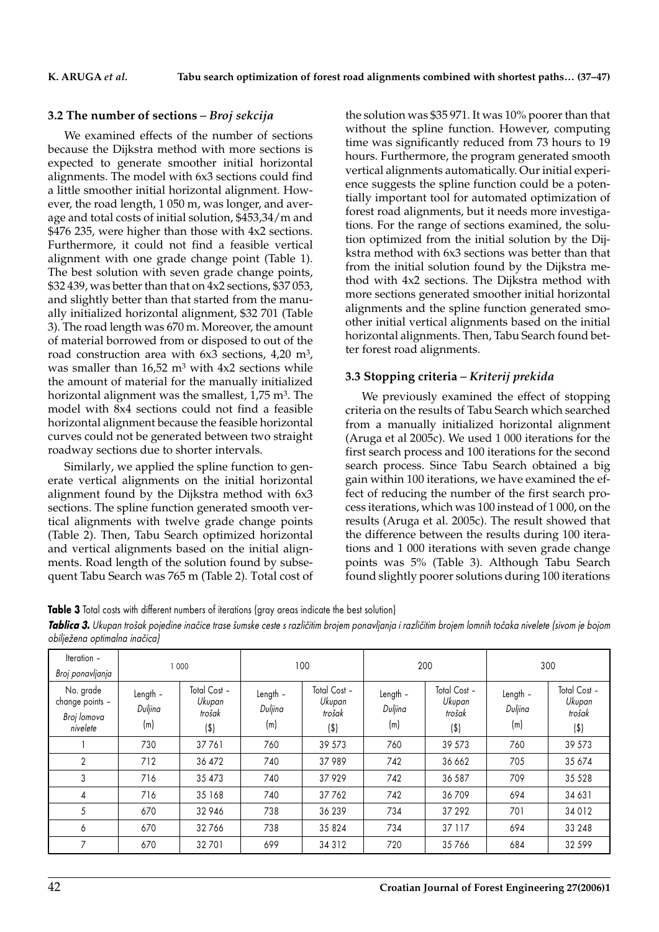#### **3.2 The number of sections** *– Broj sekcija*

We examined effects of the number of sections because the Dijkstra method with more sections is expected to generate smoother initial horizontal alignments. The model with 6x3 sections could find a little smoother initial horizontal alignment. However, the road length, 1 050 m, was longer, and average and total costs of initial solution, \$453,34/m and \$476 235, were higher than those with 4x2 sections. Furthermore, it could not find a feasible vertical alignment with one grade change point (Table 1). The best solution with seven grade change points, \$32 439, was better than that on 4x2 sections, \$37 053, and slightly better than that started from the manually initialized horizontal alignment, \$32 701 (Table 3). The road length was 670 m. Moreover, the amount of material borrowed from or disposed to out of the road construction area with  $6x3$  sections,  $4,20$  m<sup>3</sup>, was smaller than  $16,52$  m<sup>3</sup> with  $4x2$  sections while the amount of material for the manually initialized horizontal alignment was the smallest,  $1.75$  m<sup>3</sup>. The model with 8x4 sections could not find a feasible horizontal alignment because the feasible horizontal curves could not be generated between two straight roadway sections due to shorter intervals.

Similarly, we applied the spline function to generate vertical alignments on the initial horizontal alignment found by the Dijkstra method with 6x3 sections. The spline function generated smooth vertical alignments with twelve grade change points (Table 2). Then, Tabu Search optimized horizontal and vertical alignments based on the initial alignments. Road length of the solution found by subsequent Tabu Search was 765 m (Table 2). Total cost of

the solution was \$35 971. It was 10% poorer than that without the spline function. However, computing time was significantly reduced from 73 hours to 19 hours. Furthermore, the program generated smooth vertical alignments automatically. Our initial experience suggests the spline function could be a potentially important tool for automated optimization of forest road alignments, but it needs more investigations. For the range of sections examined, the solution optimized from the initial solution by the Dijkstra method with 6x3 sections was better than that from the initial solution found by the Dijkstra method with 4x2 sections. The Dijkstra method with more sections generated smoother initial horizontal alignments and the spline function generated smoother initial vertical alignments based on the initial horizontal alignments. Then, Tabu Search found better forest road alignments.

#### **3.3 Stopping criteria** *– Kriterij prekida*

We previously examined the effect of stopping criteria on the results of Tabu Search which searched from a manually initialized horizontal alignment (Aruga et al 2005c). We used 1 000 iterations for the first search process and 100 iterations for the second search process. Since Tabu Search obtained a big gain within 100 iterations, we have examined the effect of reducing the number of the first search process iterations, which was 100 instead of 1 000, on the results (Aruga et al. 2005c). The result showed that the difference between the results during 100 iterations and 1 000 iterations with seven grade change points was 5% (Table 3). Although Tabu Search found slightly poorer solutions during 100 iterations

**Table 3** Total costs with different numbers of iterations (gray areas indicate the best solution)

| Tablica 3. Ukupan trošak pojedine inačice trase šumske ceste s različitim brojem ponavljanja i različitim brojem lomnih točaka nivelete (sivom je bojom |  |  |  |  |
|---------------------------------------------------------------------------------------------------------------------------------------------------------|--|--|--|--|
| obilježena optimalna inačica)                                                                                                                           |  |  |  |  |

| Iteration -<br>Broj ponavljanja                         |                            | 000                                        |                            | 100                                     |                            | 200                                     | 300                        |                                            |  |
|---------------------------------------------------------|----------------------------|--------------------------------------------|----------------------------|-----------------------------------------|----------------------------|-----------------------------------------|----------------------------|--------------------------------------------|--|
| No. grade<br>change points -<br>Broj lomova<br>nivelete | Length -<br>Duljina<br>(m) | Total Cost -<br>Ukupan<br>trošak<br>$(\$)$ | Length -<br>Duljina<br>(m) | Total Cost -<br>Ukupan<br>trošak<br>(3) | Length -<br>Duljina<br>(m) | Total Cost -<br>Ukupan<br>trošak<br>(3) | Length -<br>Duljina<br>(m) | Total Cost -<br>Ukupan<br>trošak<br>$(\$)$ |  |
|                                                         | 730                        | 37761                                      | 760                        | 39 573                                  | 760                        | 39 573                                  | 760                        | 39 573                                     |  |
| $\overline{2}$                                          | 712                        | 36 472                                     | 740                        | 37 989                                  | 742                        | 36 662                                  | 705                        | 35 674                                     |  |
| 3                                                       | 716                        | 35 473                                     | 740                        | 37929                                   | 742                        | 36 587                                  | 709                        | 35 5 28                                    |  |
| 4                                                       | 716                        | 35 168                                     | 740                        | 37762                                   | 742                        | 36 709                                  | 694                        | 34 631                                     |  |
| 5                                                       | 670                        | 32 946                                     | 738                        | 36 239                                  | 734                        | 37 29 2                                 | 701                        | 34 0 12                                    |  |
| 6                                                       | 670                        | 32766                                      | 738                        | 35 824                                  | 734                        | 37 117                                  | 694                        | 33 248                                     |  |
| $\overline{7}$                                          | 670                        | 32 701                                     | 699                        | 34 3 12                                 | 720                        | 35 766                                  | 684                        | 32 599                                     |  |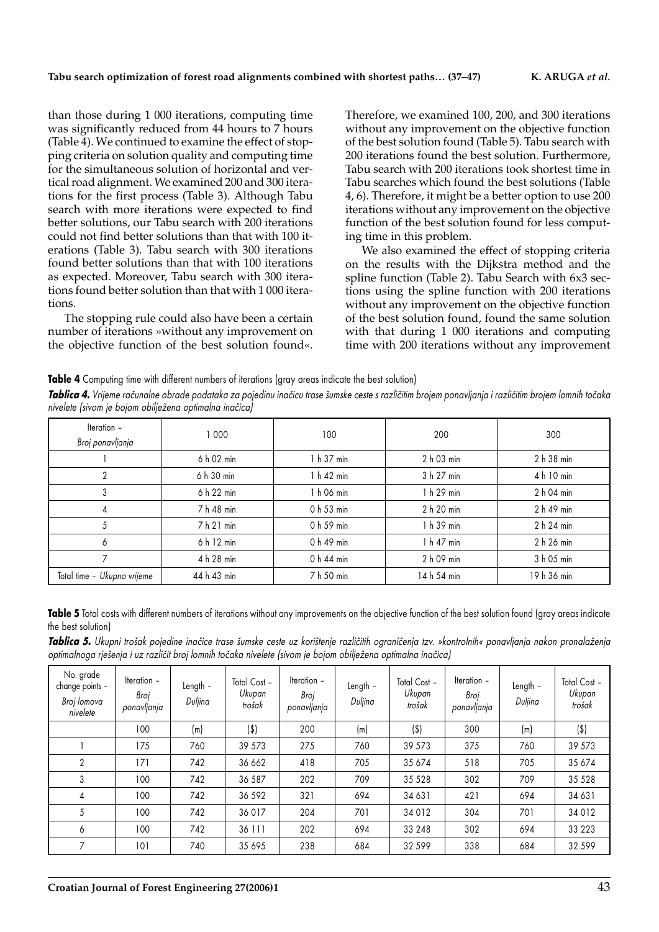than those during 1 000 iterations, computing time was significantly reduced from 44 hours to 7 hours (Table 4). We continued to examine the effect of stopping criteria on solution quality and computing time for the simultaneous solution of horizontal and vertical road alignment. We examined 200 and 300 iterations for the first process (Table 3). Although Tabu search with more iterations were expected to find better solutions, our Tabu search with 200 iterations could not find better solutions than that with 100 iterations (Table 3). Tabu search with 300 iterations found better solutions than that with 100 iterations as expected. Moreover, Tabu search with 300 iterations found better solution than that with 1 000 iterations.

The stopping rule could also have been a certain number of iterations »without any improvement on the objective function of the best solution found«.

Therefore, we examined 100, 200, and 300 iterations without any improvement on the objective function of the best solution found (Table 5). Tabu search with 200 iterations found the best solution. Furthermore, Tabu search with 200 iterations took shortest time in Tabu searches which found the best solutions (Table 4, 6). Therefore, it might be a better option to use 200 iterations without any improvement on the objective function of the best solution found for less computing time in this problem.

We also examined the effect of stopping criteria on the results with the Dijkstra method and the spline function (Table 2). Tabu Search with 6x3 sections using the spline function with 200 iterations without any improvement on the objective function of the best solution found, found the same solution with that during 1 000 iterations and computing time with 200 iterations without any improvement

**Table 4** Computing time with different numbers of iterations (gray areas indicate the best solution)

*Tablica 4. Vrijeme računalne obrade podataka za pojedinu inačicu trase šumske ceste s različitim brojem iomnih točaka<sup>3</sup>aka brojem lomnih točaka nivelete (sivom je bojom obilje`ena optimalna ina~ica)*

| Iteration -<br>Broj ponavljanja | 1 000       | 100        | 200         | 300         |
|---------------------------------|-------------|------------|-------------|-------------|
|                                 | 6 h 02 min  | 1 h 37 min | 2 h 03 min  | 2 h 38 min  |
| 2                               | 6 h 30 min  | 1 h 42 min | 3 h 27 min  | 4 h 10 min  |
| 3                               | 6 h 22 min  | 1 h 06 min | 1 h 29 min  | 2 h 04 min  |
|                                 | 7 h 48 min  | 0 h 53 min | 2 h 20 min  | 2 h 49 min  |
| 5                               | 7 h 21 min  | 0 h 59 min | 1 h 39 min  | 2 h 24 min  |
| 6                               | 6 h 12 min  | 0 h 49 min | 1 h 47 min  | 2 h 26 min  |
|                                 | 4 h 28 min  | 0 h 44 min | 2 h 09 min  | 3 h 05 min  |
| Total time - Ukupno vrijeme     | 44 h 43 min | 7 h 50 min | 14 h 54 min | 19 h 36 min |

Table 5 Total costs with different numbers of iterations without any improvements on the objective function of the best solution found (gray areas indicate the best solution)

**Tablica 5.** Ukupni trošak pojedine inačice trase šumske ceste uz korištenje različitih ograničenja tzv. »kontrolnih« ponavljanja nakon pronalaženja *optimalnoga rje{enja i uz razli~it broj lomnih to~aka nivelete (sivom je bojom obilje`ena optimalna ina~ica)*

| No. grade<br>change points -<br>Broj lomova<br>nivelete | Iteration -<br>Broi<br>ponavljanja | Length -<br>Duljina | Total Cost -<br>Ukupan<br>trošak | Iteration -<br>Broi<br>ponavljanja | Length -<br>Duljina | Total Cost -<br>Ukupan<br>trošak | Iteration -<br>Broi<br>ponavljanja | Length -<br>Duljina | Total Cost -<br>Ukupan<br>trošak |
|---------------------------------------------------------|------------------------------------|---------------------|----------------------------------|------------------------------------|---------------------|----------------------------------|------------------------------------|---------------------|----------------------------------|
|                                                         | 100                                | (m)                 | $($ \$)                          | 200                                | (m)                 | $(\$)$                           | 300                                | (m)                 | $($ \$)                          |
|                                                         | 175                                | 760                 | 39 573                           | 275                                | 760                 | 39 573                           | 375                                | 760                 | 39 573                           |
| $\mathbf{2}$                                            | 171                                | 742                 | 36 662                           | 418                                | 705                 | 35 674                           | 518                                | 705                 | 35 674                           |
| 3                                                       | 100                                | 742                 | 36 587                           | 202                                | 709                 | 35 5 28                          | 302                                | 709                 | 35 5 28                          |
| 4                                                       | 100                                | 742                 | 36 592                           | 321                                | 694                 | 34 631                           | 421                                | 694                 | 34 631                           |
| 5                                                       | 100                                | 742                 | 36 017                           | 204                                | 701                 | 34 0 12                          | 304                                | 701                 | 34 0 12                          |
| 6                                                       | 100                                | 742                 | 36 111                           | 202                                | 694                 | 33 248                           | 302                                | 694                 | 33 2 2 3                         |
| $\overline{7}$                                          | 101                                | 740                 | 35 695                           | 238                                | 684                 | 32 599                           | 338                                | 684                 | 32 599                           |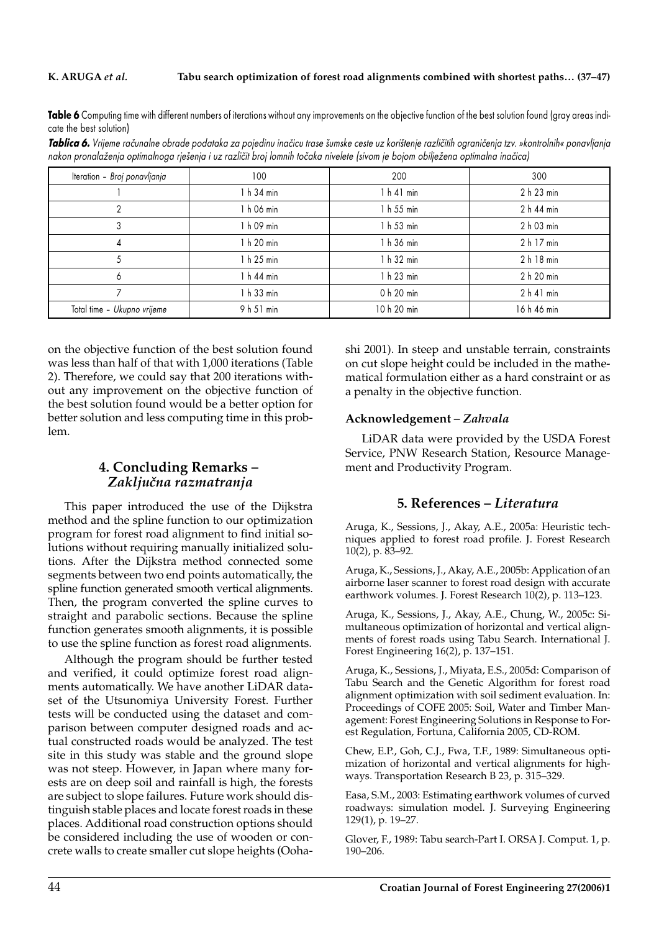Table 6 Computing time with different numbers of iterations without any improvements on the objective function of the best solution found (gray areas indicate the best solution)

*Tablica 6. Vrijeme računalne obrade podataka za pojedinu inačicu trase šumske ceste uz korištenje različitih ograničenja tzv. »kontrolnih« ponavljanja* nakon pronalaženja optimalnoga rješenja i uz različit broj lomnih točaka nivelete (sivom je bojom obilježena optimalna inačica)

| Iteration - Broj ponavljanja | 100        | 200         | 300         |
|------------------------------|------------|-------------|-------------|
|                              | 1 h 34 min | 1 h 41 min  | 2 h 23 min  |
| っ                            | 1 h 06 min | 1 h 55 min  | 2 h 44 min  |
| 3                            | 1 h 09 min | 1 h 53 min  | 2 h 03 min  |
| 4                            | 1 h 20 min | 1 h 36 min  | 2 h 17 min  |
|                              | 1 h 25 min | 1 h 32 min  | 2 h 18 min  |
| 6                            | 1 h 44 min | 1 h 23 min  | 2 h 20 min  |
|                              | 1 h 33 min | 0 h 20 min  | $2h41$ min  |
| Total time - Ukupno vrijeme  | 9 h 51 min | 10 h 20 min | 16 h 46 min |

on the objective function of the best solution found was less than half of that with 1,000 iterations (Table 2). Therefore, we could say that 200 iterations without any improvement on the objective function of the best solution found would be a better option for better solution and less computing time in this problem.

### **4. Concluding Remarks –** *Zaklju~na razmatranja*

This paper introduced the use of the Dijkstra method and the spline function to our optimization program for forest road alignment to find initial solutions without requiring manually initialized solutions. After the Dijkstra method connected some segments between two end points automatically, the spline function generated smooth vertical alignments. Then, the program converted the spline curves to straight and parabolic sections. Because the spline function generates smooth alignments, it is possible to use the spline function as forest road alignments.

Although the program should be further tested and verified, it could optimize forest road alignments automatically. We have another LiDAR dataset of the Utsunomiya University Forest. Further tests will be conducted using the dataset and comparison between computer designed roads and actual constructed roads would be analyzed. The test site in this study was stable and the ground slope was not steep. However, in Japan where many forests are on deep soil and rainfall is high, the forests are subject to slope failures. Future work should distinguish stable places and locate forest roads in these places. Additional road construction options should be considered including the use of wooden or concrete walls to create smaller cut slope heights (Oohashi 2001). In steep and unstable terrain, constraints on cut slope height could be included in the mathematical formulation either as a hard constraint or as a penalty in the objective function.

#### **Acknowledgement** *– Zahvala*

LiDAR data were provided by the USDA Forest Service, PNW Research Station, Resource Management and Productivity Program.

#### **5. References –** *Literatura*

Aruga, K., Sessions, J., Akay, A.E., 2005a: Heuristic techniques applied to forest road profile. J. Forest Research 10(2), p. 83–92.

Aruga, K., Sessions, J., Akay, A.E., 2005b: Application of an airborne laser scanner to forest road design with accurate earthwork volumes. J. Forest Research 10(2), p. 113–123.

Aruga, K., Sessions, J., Akay, A.E., Chung, W., 2005c: Simultaneous optimization of horizontal and vertical alignments of forest roads using Tabu Search. International J. Forest Engineering 16(2), p. 137–151.

Aruga, K., Sessions, J., Miyata, E.S., 2005d: Comparison of Tabu Search and the Genetic Algorithm for forest road alignment optimization with soil sediment evaluation. In: Proceedings of COFE 2005: Soil, Water and Timber Management: Forest Engineering Solutions in Response to Forest Regulation, Fortuna, California 2005, CD-ROM.

Chew, E.P., Goh, C.J., Fwa, T.F., 1989: Simultaneous optimization of horizontal and vertical alignments for highways. Transportation Research B 23, p. 315–329.

Easa, S.M., 2003: Estimating earthwork volumes of curved roadways: simulation model. J. Surveying Engineering 129(1), p. 19–27.

Glover, F., 1989: Tabu search-Part I. ORSA J. Comput. 1, p. 190–206.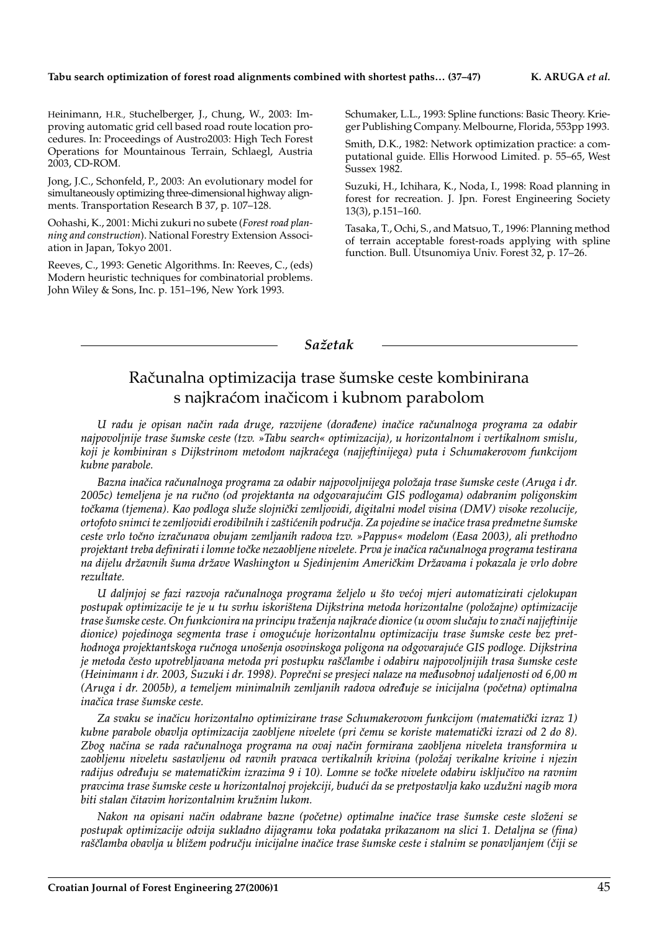#### **Tabu search optimization of forest road alignments combined with shortest paths… (37–47) K. ARUGA** *et al.*

Heinimann, H.R., Stuchelberger, J., Chung, W., 2003: Improving automatic grid cell based road route location procedures. In: Proceedings of Austro2003: High Tech Forest Operations for Mountainous Terrain, Schlaegl, Austria 2003, CD-ROM.

Jong, J.C., Schonfeld, P., 2003: An evolutionary model for simultaneously optimizing three-dimensional highway alignments. Transportation Research B 37, p. 107–128.

Oohashi, K., 2001: Michi zukuri no subete (*Forest road planning and construction*). National Forestry Extension Association in Japan, Tokyo 2001.

Reeves, C., 1993: Genetic Algorithms. In: Reeves, C., (eds) Modern heuristic techniques for combinatorial problems. John Wiley & Sons, Inc. p. 151–196, New York 1993.

Schumaker, L.L., 1993: Spline functions: Basic Theory. Krieger Publishing Company. Melbourne, Florida, 553pp 1993.

Smith, D.K., 1982: Network optimization practice: a computational guide. Ellis Horwood Limited. p. 55–65, West Sussex 1982.

Suzuki, H., Ichihara, K., Noda, I., 1998: Road planning in forest for recreation. J. Jpn. Forest Engineering Society 13(3), p.151–160.

Tasaka, T., Ochi, S., and Matsuo, T., 1996: Planning method of terrain acceptable forest-roads applying with spline function. Bull. Utsunomiya Univ. Forest 32, p. 17–26.

*Sa`etak*

## Računalna optimizacija trase šumske ceste kombinirana s najkraćom inačicom i kubnom parabolom

*U radu je opisan na~in rada druge, razvijene (dora|ene) ina~ice ra~unalnoga programa za odabir najpovoljnije trase {umske ceste (tzv. »Tabu search« optimizacija), u horizontalnom i vertikalnom smislu, koji je kombiniran s Dijkstrinom metodom najkra}ega (najjeftinijega) puta i Schumakerovom funkcijom kubne parabole.*

*Bazna ina~ica ra~unalnoga programa za odabir najpovoljnijega polo`aja trase {umske ceste (Aruga i dr. 2005c) temeljena je na ru~no (od projektanta na odgovaraju}im GIS podlogama) odabranim poligonskim to~kama (tjemena). Kao podloga slu`e slojni~ki zemljovidi, digitalni model visina (DMV) visoke rezolucije, ortofoto snimci te zemljovidi erodibilnih i za{ti}enih podru~ja. Za pojedine se ina~ice trasa predmetne {umske ceste vrlo to~no izra~unava obujam zemljanih radova tzv. »Pappus« modelom (Easa 2003), ali prethodno projektant treba definirati i lomne to~ke nezaobljene nivelete. Prva je ina~ica ra~unalnoga programa testirana* na dijelu državnih šuma države Washington u Sjedinjenim Američkim Državama i pokazala je vrlo dobre *rezultate.*

*U daljnjoj se fazi razvoja ra~unalnoga programa `eljelo u {to ve}oj mjeri automatizirati cjelokupan postupak optimizacije te je u tu svrhu iskori{tena Dijkstrina metoda horizontalne (polo`ajne) optimizacije trase {umske ceste. On funkcionira na principu tra`enja najkra}e dionice (u ovom slu~aju to zna~i najjeftinije* dionice) pojedinoga segmenta trase i omogućuje horizontalnu optimizaciju trase šumske ceste bez pret*hodnoga projektantskoga ru~noga uno{enja osovinskoga poligona na odgovaraju}e GIS podloge. Dijkstrina je metoda ~esto upotrebljavana metoda pri postupku ra{~lambe i odabiru najpovoljnijih trasa {umske ceste (Heinimann i dr. 2003, Suzuki i dr. 1998). Popre~ni se presjeci nalaze na me|usobnoj udaljenosti od 6,00 m (Aruga i dr. 2005b), a temeljem minimalnih zemljanih radova odre|uje se inicijalna (po~etna) optimalna*  $ina\check{c}$ ica trase šumske ceste.

*Za svaku se ina~icu horizontalno optimizirane trase Schumakerovom funkcijom (matemati~ki izraz 1)* kubne parabole obavlja optimizacija zaobljene nivelete (pri čemu se koriste matematički izrazi od 2 do 8). *Zbog na~ina se rada ra~unalnoga programa na ovaj na~in formirana zaobljena niveleta transformira u zaobljenu niveletu sastavljenu od ravnih pravaca vertikalnih krivina (polo`aj verikalne krivine i njezin* radijus određuju se matematičkim izrazima 9 i 10). Lomne se točke nivelete odabiru isključivo na ravnim *pravcima trase {umske ceste u horizontalnoj projekciji, budu}i da se pretpostavlja kako uzdu`ni nagib mora*  $b$ iti stalan čitavim horizontalnim kružnim lukom.

*Nakon na opisani na~in odabrane bazne (po~etne) optimalne ina~ice trase {umske ceste slo`eni se postupak optimizacije odvija sukladno dijagramu toka podataka prikazanom na slici 1. Detaljna se (fina) ra{~lamba obavlja u bli`em podru~ju inicijalne ina~ice trase {umske ceste i stalnim se ponavljanjem (~iji se*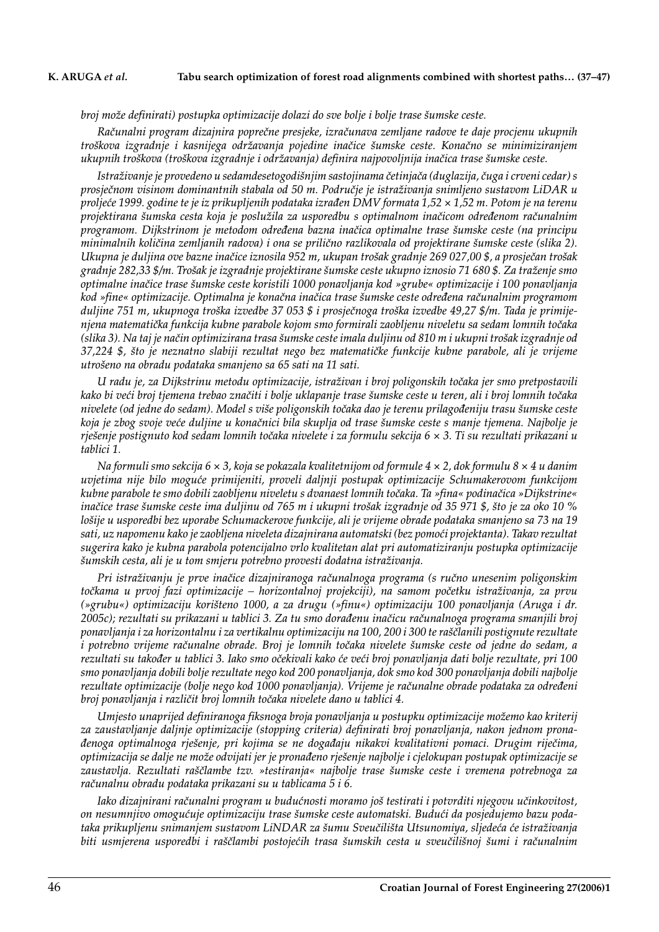*broj mo`e definirati) postupka optimizacije dolazi do sve bolje i bolje trase {umske ceste.*

*Ra~unalni program dizajnira popre~ne presjeke, izra~unava zemljane radove te daje procjenu ukupnih tro{kova izgradnje i kasnijega odr`avanja pojedine ina~ice {umske ceste. Kona~no se minimiziranjem ukupnih tro{kova (tro{kova izgradnje i odr`avanja) definira najpovoljnija ina~ica trase {umske ceste.*

Istraživanje je provedeno u sedamdesetogodišnjim sastojinama četinjača (duglazija, čuga i crveni cedar) s *prosje~nom visinom dominantnih stabala od 50 m. Podru~je je istra`ivanja snimljeno sustavom LiDAR u proljeće 1999. godine te je iz prikupljenih podataka izrađen DMV formata 1,52 × 1,52 m. Potom je na terenu* projektirana šumska cesta koja je poslužila za usporedbu s optimalnom inačicom određenom računalnim *programom. Dijkstrinom je metodom odre|ena bazna ina~ica optimalne trase {umske ceste (na principu minimalnih količina zemljanih radova) i ona se prilično razlikovala od projektirane šumske ceste (slika 2). Ukupna je duljina ove bazne ina~ice iznosila 952 m, ukupan tro{ak gradnje 269 027,00 \$, a prosje~an tro{ak gradnje 282,33 \$/m. Tro{ak je izgradnje projektirane {umske ceste ukupno iznosio 71 680 \$. Za tra`enje smo optimalne ina~ice trase {umske ceste koristili 1000 ponavljanja kod »grube« optimizacije i 100 ponavljanja kod »fine« optimizacije. Optimalna je kona~na ina~ica trase {umske ceste odre|ena ra~unalnim programom* duljine 751 m, ukupnoga troška izvedbe 37 053 \$ i prosječnoga troška izvedbe 49,27 \$/m. Tada je primije*njena matemati~ka funkcija kubne parabole kojom smo formirali zaobljenu niveletu sa sedam lomnih to~aka (slika 3). Na taj je na~in optimizirana trasa {umske ceste imala duljinu od 810 m i ukupni tro{ak izgradnje od 37,224 \$, {to je neznatno slabiji rezultat nego bez matemati~ke funkcije kubne parabole, ali je vrijeme utro{eno na obradu podataka smanjeno sa 65 sati na 11 sati.*

*U radu je, za Dijkstrinu metodu optimizacije, istra`ivan i broj poligonskih to~aka jer smo pretpostavili* kako bi veći broj tjemena trebao značiti i bolje uklapanje trase šumske ceste u teren, ali i broj lomnih točaka nivelete (od jedne do sedam). Model s više poligonskih točaka dao je terenu prilagođeniju trasu šumske ceste *koja je zbog svoje ve}e duljine u kona~nici bila skuplja od trase {umske ceste s manje tjemena. Najbolje je rje{enje postignuto kod sedam lomnih to~aka nivelete i za formulu sekcija 6 × 3. Ti su rezultati prikazani u tablici 1.*

*Na formuli smo sekcija 6 × 3, koja se pokazala kvalitetnijom od formule 4 × 2, dok formulu 8 × 4 u danim uvjetima nije bilo mogu}e primijeniti, proveli daljnji postupak optimizacije Schumakerovom funkcijom kubne parabole te smo dobili zaobljenu niveletu s dvanaest lomnih to~aka. Ta »fina« podina~ica »Dijkstrine« ina~ice trase {umske ceste ima duljinu od 765 m i ukupni tro{ak izgradnje od 35 971 \$, {to je za oko 10 % lo{ije u usporedbi bez uporabe Schumackerove funkcije, ali je vrijeme obrade podataka smanjeno sa 73 na 19* sati, uz napomenu kako je zaobljena niveleta dizajnirana automatski (bez pomoći projektanta). Takav rezultat *sugerira kako je kubna parabola potencijalno vrlo kvalitetan alat pri automatiziranju postupka optimizacije {umskih cesta, ali je u tom smjeru potrebno provesti dodatna istra`ivanja.*

*Pri istra`ivanju je prve ina~ice dizajniranoga ra~unalnoga programa (s ru~no unesenim poligonskim to~kama u prvoj fazi optimizacije – horizontalnoj projekciji), na samom po~etku istra`ivanja, za prvu (»grubu«) optimizaciju kori{teno 1000, a za drugu (»finu«) optimizaciju 100 ponavljanja (Aruga i dr. 2005c); rezultati su prikazani u tablici 3. Za tu smo dora|enu ina~icu ra~unalnoga programa smanjili broj ponavljanja i za horizontalnu i za vertikalnu optimizaciju na 100, 200 i 300 te ra{~lanili postignute rezultate* i potrebno vrijeme računalne obrade. Broj je lomnih točaka nivelete šumske ceste od jedne do sedam, a rezultati su također u tablici 3. Iako smo očekivali kako će veći broj ponavljanja dati bolje rezultate, pri 100 *smo ponavljanja dobili bolje rezultate nego kod 200 ponavljanja, dok smo kod 300 ponavljanja dobili najbolje* rezultate optimizacije (bolje nego kod 1000 ponavljanja). Vrijeme je računalne obrade podataka za određeni *broj ponavljanja i razli~it broj lomnih to~aka nivelete dano u tablici 4.*

*Umjesto unaprijed definiranoga fiksnoga broja ponavljanja u postupku optimizacije mo`emo kao kriterij za zaustavljanje daljnje optimizacije (stopping criteria) definirati broj ponavljanja, nakon jednom prona- |enoga optimalnoga rje{enje, pri kojima se ne doga|aju nikakvi kvalitativni pomaci. Drugim rije~ima, optimizacija se dalje ne mo`e odvijati jer je prona|eno rje{enje najbolje i cjelokupan postupak optimizacije se zaustavlja. Rezultati ra{~lambe tzv. »testiranja« najbolje trase {umske ceste i vremena potrebnoga za ra~unalnu obradu podataka prikazani su u tablicama 5 i 6.*

Iako dizajnirani računalni program u budućnosti moramo još testirati i potvrditi njegovu učinkovitost, *on nesumnjivo omogu}uje optimizaciju trase {umske ceste automatski. Budu}i da posjedujemo bazu podataka prikupljenu snimanjem sustavom LiNDAR za {umu Sveu~ili{ta Utsunomiya, sljede}a }e istra`ivanja biti usmjerena usporedbi i raščlambi postojećih trasa šumskih cesta u sveučilišnoj šumi i računalnim*